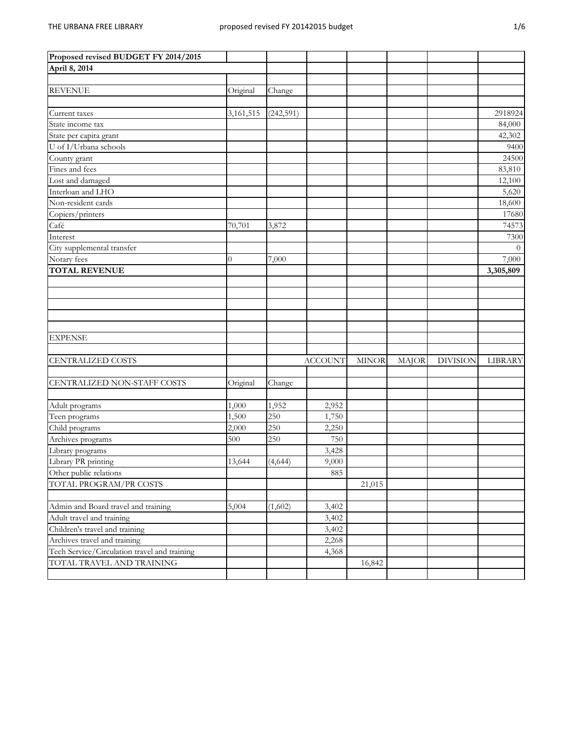| ×.<br>۰<br>۰,<br>٠ |
|--------------------|
|--------------------|

| Proposed revised BUDGET FY 2014/2015         |                |            |                |              |              |                 |           |
|----------------------------------------------|----------------|------------|----------------|--------------|--------------|-----------------|-----------|
| April 8, 2014                                |                |            |                |              |              |                 |           |
|                                              |                |            |                |              |              |                 |           |
| <b>REVENUE</b>                               | Original       | Change     |                |              |              |                 |           |
|                                              |                |            |                |              |              |                 |           |
| Current taxes                                | 3,161,515      | (242, 591) |                |              |              |                 | 2918924   |
| State income tax                             |                |            |                |              |              |                 | 84,000    |
| State per capita grant                       |                |            |                |              |              |                 | 42,302    |
| U of I/Urbana schools                        |                |            |                |              |              |                 | 9400      |
| County grant                                 |                |            |                |              |              |                 | 24500     |
| Fines and fees                               |                |            |                |              |              |                 | 83,810    |
| Lost and damaged                             |                |            |                |              |              |                 | 12,100    |
| Interloan and LHO                            |                |            |                |              |              |                 | 5,620     |
| Non-resident cards                           |                |            |                |              |              |                 | 18,600    |
| Copiers/printers                             |                |            |                |              |              |                 | 17680     |
| Café                                         | 70,701         | 3,872      |                |              |              |                 | 74573     |
| Interest                                     |                |            |                |              |              |                 | 7300      |
| City supplemental transfer                   |                |            |                |              |              |                 | $\theta$  |
| Notary fees                                  | $\overline{0}$ | 7,000      |                |              |              |                 | 7,000     |
| <b>TOTAL REVENUE</b>                         |                |            |                |              |              |                 | 3,305,809 |
|                                              |                |            |                |              |              |                 |           |
|                                              |                |            |                |              |              |                 |           |
|                                              |                |            |                |              |              |                 |           |
|                                              |                |            |                |              |              |                 |           |
|                                              |                |            |                |              |              |                 |           |
| <b>EXPENSE</b>                               |                |            |                |              |              |                 |           |
|                                              |                |            |                |              |              |                 |           |
| <b>CENTRALIZED COSTS</b>                     |                |            | <b>ACCOUNT</b> | <b>MINOR</b> | <b>MAJOR</b> | <b>DIVISION</b> | LIBRARY   |
|                                              |                |            |                |              |              |                 |           |
| CENTRALIZED NON-STAFF COSTS                  | Original       | Change     |                |              |              |                 |           |
|                                              |                |            |                |              |              |                 |           |
| Adult programs                               | 1,000          | 1,952      | 2,952          |              |              |                 |           |
| Teen programs                                | 1,500          | 250        | 1,750          |              |              |                 |           |
| Child programs                               | 2,000          | 250        | 2,250          |              |              |                 |           |
| Archives programs                            | 500            | 250        | 750            |              |              |                 |           |
| Library programs                             |                |            | 3,428          |              |              |                 |           |
| Library PR printing                          | 13,644         | (4, 644)   | 9,000          |              |              |                 |           |
| Other public relations                       |                |            | 885            |              |              |                 |           |
| TOTAL PROGRAM/PR COSTS                       |                |            |                | 21,015       |              |                 |           |
|                                              |                |            |                |              |              |                 |           |
| Admin and Board travel and training          | 5,004          | (1,602)    | 3,402          |              |              |                 |           |
| Adult travel and training                    |                |            | 3,402          |              |              |                 |           |
| Children's travel and training               |                |            | 3,402          |              |              |                 |           |
| Archives travel and training                 |                |            | 2,268          |              |              |                 |           |
| Tech Service/Circulation travel and training |                |            | 4,368          |              |              |                 |           |
| TOTAL TRAVEL AND TRAINING                    |                |            |                | 16,842       |              |                 |           |
|                                              |                |            |                |              |              |                 |           |
|                                              |                |            |                |              |              |                 |           |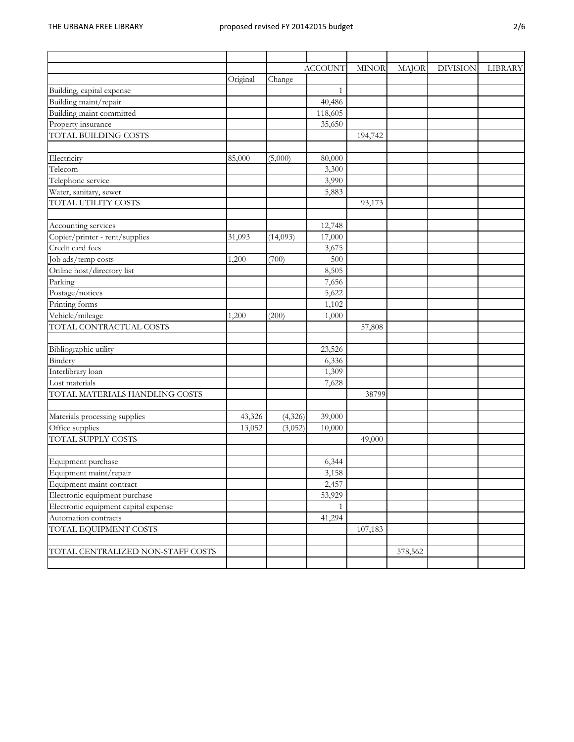|                                      |          |          | <b>ACCOUNT</b> | <b>MINOR</b> | <b>MAJOR</b> | <b>DIVISION</b> | LIBRARY |
|--------------------------------------|----------|----------|----------------|--------------|--------------|-----------------|---------|
|                                      | Original | Change   |                |              |              |                 |         |
| Building, capital expense            |          |          | $\mathbf{1}$   |              |              |                 |         |
| Building maint/repair                |          |          | 40,486         |              |              |                 |         |
| Building maint committed             |          |          | 118,605        |              |              |                 |         |
| Property insurance                   |          |          | 35,650         |              |              |                 |         |
| <b>TOTAL BUILDING COSTS</b>          |          |          |                | 194,742      |              |                 |         |
|                                      |          |          |                |              |              |                 |         |
| Electricity                          | 85,000   | (5,000)  | 80,000         |              |              |                 |         |
| Telecom                              |          |          | 3,300          |              |              |                 |         |
| Telephone service                    |          |          | 3,990          |              |              |                 |         |
| Water, sanitary, sewer               |          |          | 5,883          |              |              |                 |         |
| TOTAL UTILITY COSTS                  |          |          |                | 93,173       |              |                 |         |
|                                      |          |          |                |              |              |                 |         |
| Accounting services                  |          |          | 12,748         |              |              |                 |         |
| Copier/printer - rent/supplies       | 31,093   | (14,093) | 17,000         |              |              |                 |         |
| Credit card fees                     |          |          | 3,675          |              |              |                 |         |
| Job ads/temp costs                   | 1,200    | (700)    | 500            |              |              |                 |         |
| Online host/directory list           |          |          | 8,505          |              |              |                 |         |
| Parking                              |          |          | 7,656          |              |              |                 |         |
| Postage/notices                      |          |          | 5,622          |              |              |                 |         |
| Printing forms                       |          |          | 1,102          |              |              |                 |         |
| Vehicle/mileage                      | 1,200    | (200)    | 1,000          |              |              |                 |         |
| TOTAL CONTRACTUAL COSTS              |          |          |                | 57,808       |              |                 |         |
|                                      |          |          |                |              |              |                 |         |
| Bibliographic utility                |          |          | 23,526         |              |              |                 |         |
| Bindery                              |          |          | 6,336          |              |              |                 |         |
| Interlibrary loan                    |          |          | 1,309          |              |              |                 |         |
| Lost materials                       |          |          | 7,628          |              |              |                 |         |
| TOTAL MATERIALS HANDLING COSTS       |          |          |                | 38799        |              |                 |         |
|                                      |          |          |                |              |              |                 |         |
| Materials processing supplies        | 43,326   | (4,326)  | 39,000         |              |              |                 |         |
| Office supplies                      | 13,052   | (3,052)  | 10,000         |              |              |                 |         |
| <b>TOTAL SUPPLY COSTS</b>            |          |          |                | 49,000       |              |                 |         |
|                                      |          |          |                |              |              |                 |         |
| Equipment purchase                   |          |          | 6,344          |              |              |                 |         |
| Equipment maint/repair               |          |          | 3,158          |              |              |                 |         |
| Equipment maint contract             |          |          | 2,457          |              |              |                 |         |
| Electronic equipment purchase        |          |          | 53,929         |              |              |                 |         |
| Electronic equipment capital expense |          |          | $\mathbf{1}$   |              |              |                 |         |
| Automation contracts                 |          |          | 41,294         |              |              |                 |         |
| TOTAL EQUIPMENT COSTS                |          |          |                | 107,183      |              |                 |         |
|                                      |          |          |                |              |              |                 |         |
| TOTAL CENTRALIZED NON-STAFF COSTS    |          |          |                |              | 578,562      |                 |         |
|                                      |          |          |                |              |              |                 |         |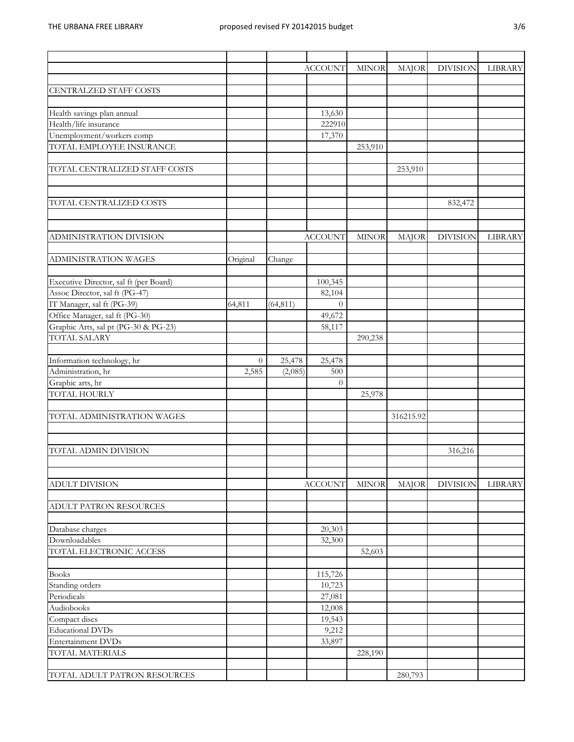| ۰,<br>۰. | ٦       |
|----------|---------|
| ٦<br>v   | ٠<br>۰, |

|                                        |          |           | <b>ACCOUNT</b> | <b>MINOR</b> | <b>MAJOR</b> | <b>DIVISION</b> | LIBRARY |
|----------------------------------------|----------|-----------|----------------|--------------|--------------|-----------------|---------|
| CENTRALZED STAFF COSTS                 |          |           |                |              |              |                 |         |
|                                        |          |           |                |              |              |                 |         |
| Health savings plan annual             |          |           | 13,630         |              |              |                 |         |
| Health/life insurance                  |          |           | 222910         |              |              |                 |         |
| Unemployment/workers comp              |          |           | 17,370         |              |              |                 |         |
| TOTAL EMPLOYEE INSURANCE               |          |           |                | 253,910      |              |                 |         |
| TOTAL CENTRALIZED STAFF COSTS          |          |           |                |              | 253,910      |                 |         |
|                                        |          |           |                |              |              |                 |         |
| TOTAL CENTRALIZED COSTS                |          |           |                |              |              | 832,472         |         |
|                                        |          |           |                |              |              |                 |         |
| ADMINISTRATION DIVISION                |          |           | <b>ACCOUNT</b> | <b>MINOR</b> | <b>MAJOR</b> | <b>DIVISION</b> | LIBRARY |
| <b>ADMINISTRATION WAGES</b>            | Original | Change    |                |              |              |                 |         |
|                                        |          |           |                |              |              |                 |         |
| Executive Director, sal ft (per Board) |          |           | 100,345        |              |              |                 |         |
| Assoc Director, sal ft (PG-47)         |          |           | 82,104         |              |              |                 |         |
| IT Manager, sal ft (PG-39)             | 64,811   | (64, 811) | $\theta$       |              |              |                 |         |
| Office Manager, sal ft (PG-30)         |          |           | 49,672         |              |              |                 |         |
| Graphic Arts, sal pt (PG-30 & PG-23)   |          |           | 58,117         |              |              |                 |         |
| <b>TOTAL SALARY</b>                    |          |           |                | 290,238      |              |                 |         |
| Information technology, hr             | $\theta$ | 25,478    | 25,478         |              |              |                 |         |
| Administration, hr                     | 2,585    | (2,085)   | 500            |              |              |                 |         |
| Graphic arts, hr                       |          |           | $\theta$       |              |              |                 |         |
| TOTAL HOURLY                           |          |           |                | 25,978       |              |                 |         |
|                                        |          |           |                |              |              |                 |         |
| TOTAL ADMINISTRATION WAGES             |          |           |                |              | 316215.92    |                 |         |
|                                        |          |           |                |              |              |                 |         |
| TOTAL ADMIN DIVISION                   |          |           |                |              |              | 316,216         |         |
|                                        |          |           |                |              |              |                 |         |
| <b>ADULT DIVISION</b>                  |          |           | <b>ACCOUNT</b> | <b>MINOR</b> | <b>MAJOR</b> | <b>DIVISION</b> | LIBRARY |
| <b>ADULT PATRON RESOURCES</b>          |          |           |                |              |              |                 |         |
| Database charges                       |          |           | 20,303         |              |              |                 |         |
| Downloadables                          |          |           | 32,300         |              |              |                 |         |
| TOTAL ELECTRONIC ACCESS                |          |           |                | 52,603       |              |                 |         |
| <b>Books</b>                           |          |           | 115,726        |              |              |                 |         |
| Standing orders                        |          |           | 10,723         |              |              |                 |         |
| Periodicals                            |          |           | 27,081         |              |              |                 |         |
| Audiobooks                             |          |           | 12,008         |              |              |                 |         |
| Compact discs                          |          |           | 19,543         |              |              |                 |         |
| <b>Educational DVDs</b>                |          |           | 9,212          |              |              |                 |         |
| <b>Entertainment DVDs</b>              |          |           | 33,897         |              |              |                 |         |
| TOTAL MATERIALS                        |          |           |                | 228,190      |              |                 |         |
|                                        |          |           |                |              |              |                 |         |
| TOTAL ADULT PATRON RESOURCES           |          |           |                |              | 280,793      |                 |         |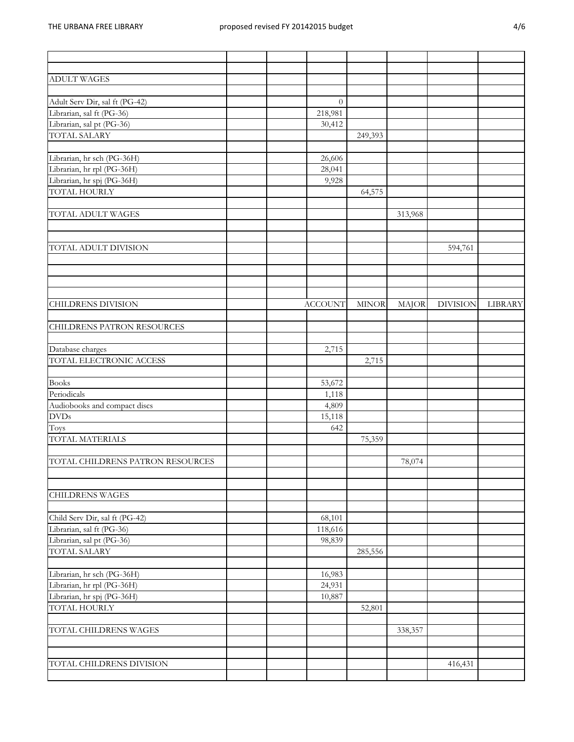|  | M.<br>۰, |
|--|----------|
|--|----------|

| <b>ADULT WAGES</b>                |                |              |         |                 |         |
|-----------------------------------|----------------|--------------|---------|-----------------|---------|
|                                   |                |              |         |                 |         |
| Adult Serv Dir, sal ft (PG-42)    | $\theta$       |              |         |                 |         |
| Librarian, sal ft (PG-36)         | 218,981        |              |         |                 |         |
| Librarian, sal pt (PG-36)         | 30,412         |              |         |                 |         |
| TOTAL SALARY                      |                | 249,393      |         |                 |         |
|                                   |                |              |         |                 |         |
| Librarian, hr sch (PG-36H)        | 26,606         |              |         |                 |         |
| Librarian, hr rpl (PG-36H)        | 28,041         |              |         |                 |         |
| Librarian, hr spj (PG-36H)        | 9,928          |              |         |                 |         |
| <b>TOTAL HOURLY</b>               |                | 64,575       |         |                 |         |
| TOTAL ADULT WAGES                 |                |              | 313,968 |                 |         |
| TOTAL ADULT DIVISION              |                |              |         | 594,761         |         |
|                                   |                |              |         |                 |         |
| <b>CHILDRENS DIVISION</b>         | <b>ACCOUNT</b> | <b>MINOR</b> | MAJOR   | <b>DIVISION</b> | LIBRARY |
|                                   |                |              |         |                 |         |
| <b>CHILDRENS PATRON RESOURCES</b> |                |              |         |                 |         |
| Database charges                  | 2,715          |              |         |                 |         |
| TOTAL ELECTRONIC ACCESS           |                | 2,715        |         |                 |         |
| <b>Books</b>                      | 53,672         |              |         |                 |         |
| Periodicals                       | 1,118          |              |         |                 |         |
| Audiobooks and compact discs      | 4,809          |              |         |                 |         |
| <b>DVDs</b>                       | 15,118         |              |         |                 |         |
| Toys                              | 642            |              |         |                 |         |
| TOTAL MATERIALS                   |                | 75,359       |         |                 |         |
|                                   |                |              |         |                 |         |
| TOTAL CHILDRENS PATRON RESOURCES  |                |              | 78,074  |                 |         |
|                                   |                |              |         |                 |         |
| <b>CHILDRENS WAGES</b>            |                |              |         |                 |         |
| Child Serv Dir, sal ft (PG-42)    | 68,101         |              |         |                 |         |
| Librarian, sal ft (PG-36)         | 118,616        |              |         |                 |         |
| Librarian, sal pt (PG-36)         | 98,839         |              |         |                 |         |
| <b>TOTAL SALARY</b>               |                | 285,556      |         |                 |         |
|                                   |                |              |         |                 |         |
| Librarian, hr sch (PG-36H)        | 16,983         |              |         |                 |         |
| Librarian, hr rpl (PG-36H)        | 24,931         |              |         |                 |         |
| Librarian, hr spj (PG-36H)        | 10,887         |              |         |                 |         |
| TOTAL HOURLY                      |                | 52,801       |         |                 |         |
|                                   |                |              |         |                 |         |
| TOTAL CHILDRENS WAGES             |                |              | 338,357 |                 |         |
|                                   |                |              |         |                 |         |
| TOTAL CHILDRENS DIVISION          |                |              |         | 416,431         |         |
|                                   |                |              |         |                 |         |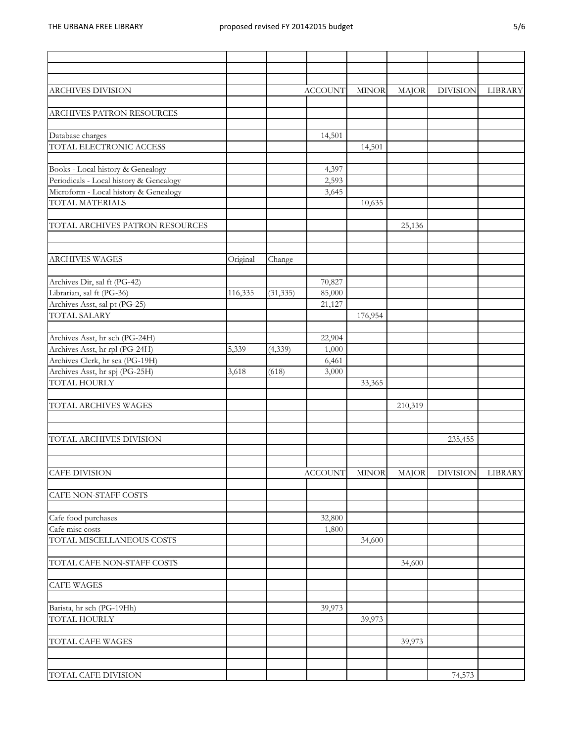| ARCHIVES DIVISION                       |          |           | <b>ACCOUNT</b> | <b>MINOR</b> | <b>MAJOR</b> | <b>DIVISION</b> | LIBRARY |
|-----------------------------------------|----------|-----------|----------------|--------------|--------------|-----------------|---------|
| ARCHIVES PATRON RESOURCES               |          |           |                |              |              |                 |         |
| Database charges                        |          |           | 14,501         |              |              |                 |         |
| TOTAL ELECTRONIC ACCESS                 |          |           |                | 14,501       |              |                 |         |
| Books - Local history & Genealogy       |          |           | 4,397          |              |              |                 |         |
| Periodicals - Local history & Genealogy |          |           | 2,593          |              |              |                 |         |
| Microform - Local history & Genealogy   |          |           | 3,645          |              |              |                 |         |
| TOTAL MATERIALS                         |          |           |                | 10,635       |              |                 |         |
| TOTAL ARCHIVES PATRON RESOURCES         |          |           |                |              | 25,136       |                 |         |
| ARCHIVES WAGES                          | Original | Change    |                |              |              |                 |         |
| Archives Dir, sal ft (PG-42)            |          |           | 70,827         |              |              |                 |         |
| Librarian, sal ft (PG-36)               | 116,335  | (31, 335) | 85,000         |              |              |                 |         |
| Archives Asst, sal pt (PG-25)           |          |           | 21,127         |              |              |                 |         |
| TOTAL SALARY                            |          |           |                | 176,954      |              |                 |         |
| Archives Asst, hr sch (PG-24H)          |          |           | 22,904         |              |              |                 |         |
| Archives Asst, hr rpl (PG-24H)          | 5,339    | (4,339)   | 1,000          |              |              |                 |         |
| Archives Clerk, hr sea (PG-19H)         |          |           | 6,461          |              |              |                 |         |
| Archives Asst, hr spj (PG-25H)          | 3,618    | (618)     | 3,000          |              |              |                 |         |
| TOTAL HOURLY                            |          |           |                | 33,365       |              |                 |         |
| TOTAL ARCHIVES WAGES                    |          |           |                |              | 210,319      |                 |         |
|                                         |          |           |                |              |              |                 |         |
| TOTAL ARCHIVES DIVISION                 |          |           |                |              |              | 235,455         |         |
| <b>CAFE DIVISION</b>                    |          |           | <b>ACCOUNT</b> |              | MINOR MAJOR  | <b>DIVISION</b> | LIBRARY |
| CAFE NON-STAFF COSTS                    |          |           |                |              |              |                 |         |
| Cafe food purchases                     |          |           | 32,800         |              |              |                 |         |
| Cafe misc costs                         |          |           | 1,800          |              |              |                 |         |
| TOTAL MISCELLANEOUS COSTS               |          |           |                | 34,600       |              |                 |         |
| TOTAL CAFE NON-STAFF COSTS              |          |           |                |              |              |                 |         |
|                                         |          |           |                |              | 34,600       |                 |         |
| <b>CAFE WAGES</b>                       |          |           |                |              |              |                 |         |
| Barista, hr sch (PG-19Hh)               |          |           | 39,973         |              |              |                 |         |
| TOTAL HOURLY                            |          |           |                | 39,973       |              |                 |         |
| TOTAL CAFE WAGES                        |          |           |                |              | 39,973       |                 |         |
|                                         |          |           |                |              |              |                 |         |
| TOTAL CAFE DIVISION                     |          |           |                |              |              | 74,573          |         |